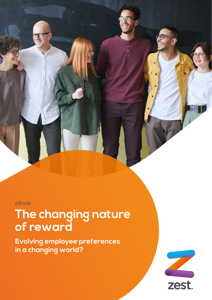eBook

# **The changing nature of reward**

**Evolving employee preferences in a changing world?**

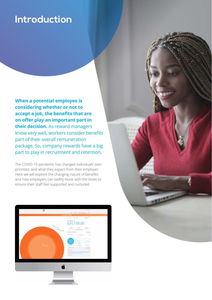### **Introduction**

**When a potential employee is considering whether or not to accept a job, the benefits that are on offer play an important part in their decision.** As reward managers know very well, workers consider benefits part of their overall remuneration package. So, company rewards have a big part to play in recruitment and retention.

The COVID-19 pandemic has changed individuals' own priorities, and what they expect from their employer. Here we will explore the changing nature of benefits and how employers can swiftly move with the times to ensure their staff feel supported and nurtured.

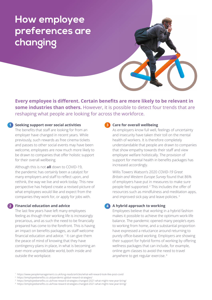## **How employee preferences are changing**

**Every employee is different. Certain benefits are more likely to be relevant in some industries than others.** However, it is possible to detect four trends that are reshaping what people are looking for across the workforce.

### **Seeking support over social activities 1**

The benefits that staff are looking for from an employer have changed in recent years. While previously, such rewards as free cinema tickets and passes to other social events may have been welcome, employees are now much more likely to be drawn to companies that offer holistic support for their overall wellbeing.

Although this is not **all** down to COVID-19, the pandemic has certainly been a catalyst for many employers and staff to reflect upon, and rethink, the way we live and work today. This new perspective has helped create a revised picture of what employees would like and expect from the companies they work for, or apply for jobs with.

### **Financial education and advice 2**

The last few years have left many employees feeling as though their working life is increasingly precarious, and as such the need to be financially prepared has come to the forefront. This is having an impact on benefits packages, as staff welcome financial education and advice.<sup> $1$ </sup> It can give them the peace of mind of knowing that they have contingency plans in place, in what is becoming an ever-more unpredictable world, both inside and outside the workplace.

#### **3**

### **Care for overall wellbeing**

As employers know full well, feelings of uncertainty and insecurity have taken their toll on the mental health of workers. It is therefore completely understandable that people are drawn to companies that show empathy towards their staff and view employee welfare holistically. The provision of support for mental health in benefits packages has increased accordingly.

Willis Towers Watson's 2020 *COVID-19 Great Britain and Western Europe Survey* found that 86% of employers have put in measures to make sure people feel supported. 2 This includes the offer of resources such as mindfulness and meditation apps, and improved sick pay and leave policies. 3

### **A hybrid approach to working 4**

Employees believe that working in a hybrid fashion makes it possible to achieve the optimum work-life balance. The pandemic opened many people's eyes to working from home, and a substantial proportion have expressed a reluctance around returning to purely office-based working. Employers are showing their support for hybrid forms of working by offering wellness packages that can include, for example, online gym classes to avoid the need to travel anywhere to get regular exercise. 4

- <sup>3</sup> https://employeebenefits.co.uk/how-reward-strategies-changed-2021-what-might-new-year-bring/
- <sup>4</sup> https://employeebenefits.co.uk/how-reward-strategies-changed-2021-what-might-new-year-bring/

<sup>1</sup> https://www.peoplemanagement.co.uk/long-reads/articles/what-will-reward-look-like-post-covid

<sup>2</sup> https://employeebenefits.co.uk/pandemic-global-reward-strategies/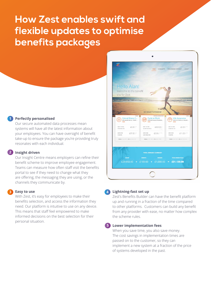### **How Zest enables swift and flexible updates to optimise benefits packages**

### **Perfectly personalised 1**

Our secure automated data processes mean systems will have all the latest information about your employees. You can have oversight of benefit take-up to ensure the package you're providing truly resonates with each individual.

### **Insight driven 2**

Our Insight Centre means employers can refine their benefit scheme to improve employee engagement. Teams can measure how often staff visit the benefits portal to see if they need to change what they are offering, the messaging they are using, or the channels they communicate by.

### **Easy to use 3 4**

With Zest, it's easy for employees to make their benefits selection, and access the information they need. Our platform is intuitive to use on any device. This means that staff feel empowered to make informed decisions on the best selection for their personal situation.



### **Lightning-fast set up**

Zest's Benefits Builder can have the benefit platform up and running in a fraction of the time compared to other platforms. Customers can build any benefit from any provider with ease, no matter how complex the scheme rules.

### **Lower implementation fees 5**

When you save time, you also save money. The cost savings in implementation times are passed on to the customer, so they can implement a new system at a fraction of the price of systems developed in the past.